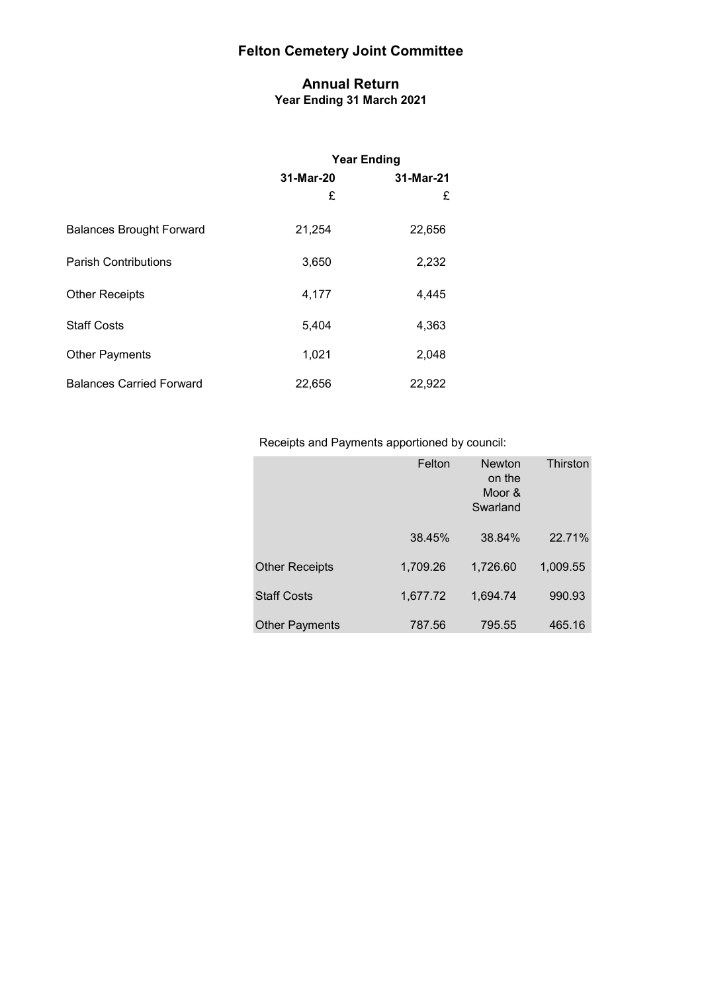#### **Annual Return Year Ending 31 March 2021**

|                                 | <b>Year Ending</b> |           |  |
|---------------------------------|--------------------|-----------|--|
|                                 | 31-Mar-20          | 31-Mar-21 |  |
|                                 | £                  | £         |  |
| <b>Balances Brought Forward</b> | 21,254             | 22,656    |  |
| <b>Parish Contributions</b>     | 3,650              | 2,232     |  |
| <b>Other Receipts</b>           | 4,177              | 4,445     |  |
| <b>Staff Costs</b>              | 5,404              | 4,363     |  |
| <b>Other Payments</b>           | 1,021              | 2,048     |  |
| <b>Balances Carried Forward</b> | 22,656             | 22,922    |  |

### Receipts and Payments apportioned by council:

|                       | Felton   | <b>Newton</b><br>on the<br>Moor &<br>Swarland | Thirston |
|-----------------------|----------|-----------------------------------------------|----------|
|                       | 38.45%   | 38.84%                                        | 22.71%   |
| <b>Other Receipts</b> | 1,709.26 | 1,726.60                                      | 1,009.55 |
| <b>Staff Costs</b>    | 1,677.72 | 1,694.74                                      | 990.93   |
| <b>Other Payments</b> | 787.56   | 795.55                                        | 465.16   |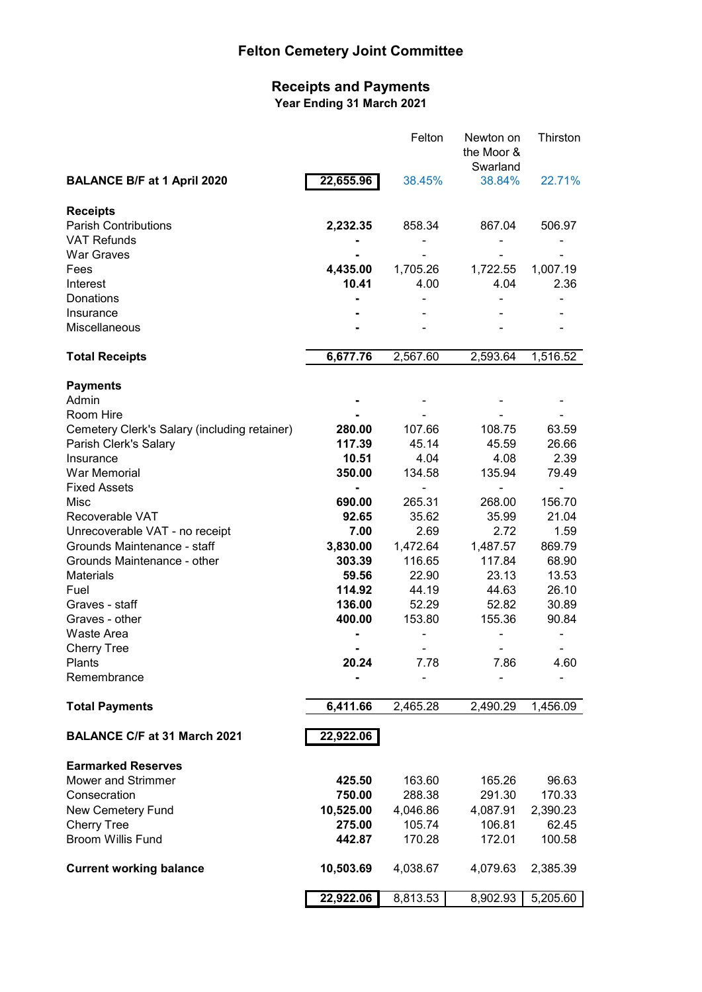#### **Receipts and Payments Year Ending 31 March 2021**

|                                                |           | Felton      | Newton on<br>the Moor &<br>Swarland | Thirston |
|------------------------------------------------|-----------|-------------|-------------------------------------|----------|
| <b>BALANCE B/F at 1 April 2020</b>             | 22,655.96 | 38.45%      | 38.84%                              | 22.71%   |
| <b>Receipts</b>                                |           |             |                                     |          |
| <b>Parish Contributions</b>                    | 2,232.35  | 858.34      | 867.04                              | 506.97   |
| <b>VAT Refunds</b>                             |           |             |                                     |          |
| <b>War Graves</b>                              |           |             |                                     |          |
| Fees                                           | 4,435.00  | 1,705.26    | 1,722.55                            | 1,007.19 |
| Interest                                       | 10.41     | 4.00        | 4.04                                | 2.36     |
| Donations<br>Insurance                         |           |             |                                     |          |
| Miscellaneous                                  |           |             |                                     |          |
| <b>Total Receipts</b>                          | 6,677.76  | 2,567.60    | 2,593.64                            | 1,516.52 |
| <b>Payments</b>                                |           |             |                                     |          |
| Admin                                          |           |             |                                     |          |
| Room Hire                                      |           |             |                                     |          |
| Cemetery Clerk's Salary (including retainer)   | 280.00    | 107.66      | 108.75                              | 63.59    |
| Parish Clerk's Salary                          | 117.39    | 45.14       | 45.59                               | 26.66    |
| Insurance                                      | 10.51     | 4.04        | 4.08                                | 2.39     |
| <b>War Memorial</b>                            | 350.00    | 134.58      | 135.94                              | 79.49    |
| <b>Fixed Assets</b><br>Misc                    | 690.00    | -<br>265.31 | 268.00                              | 156.70   |
| Recoverable VAT                                | 92.65     | 35.62       | 35.99                               | 21.04    |
| Unrecoverable VAT - no receipt                 | 7.00      | 2.69        | 2.72                                | 1.59     |
| Grounds Maintenance - staff                    | 3,830.00  | 1,472.64    | 1,487.57                            | 869.79   |
| Grounds Maintenance - other                    | 303.39    | 116.65      | 117.84                              | 68.90    |
| <b>Materials</b>                               | 59.56     | 22.90       | 23.13                               | 13.53    |
| Fuel                                           | 114.92    | 44.19       | 44.63                               | 26.10    |
| Graves - staff                                 | 136.00    | 52.29       | 52.82                               | 30.89    |
| Graves - other                                 | 400.00    | 153.80      | 155.36                              | 90.84    |
| Waste Area                                     |           |             |                                     |          |
| <b>Cherry Tree</b>                             |           |             |                                     |          |
| Plants                                         | 20.24     | 7.78        | 7.86                                | 4.60     |
| Remembrance                                    |           |             |                                     |          |
| <b>Total Payments</b>                          | 6,411.66  | 2,465.28    | 2,490.29                            | 1,456.09 |
| <b>BALANCE C/F at 31 March 2021</b>            | 22,922.06 |             |                                     |          |
| <b>Earmarked Reserves</b>                      |           |             |                                     |          |
| Mower and Strimmer                             | 425.50    | 163.60      | 165.26                              | 96.63    |
| Consecration                                   | 750.00    | 288.38      | 291.30                              | 170.33   |
| New Cemetery Fund                              | 10,525.00 | 4,046.86    | 4,087.91                            | 2,390.23 |
| <b>Cherry Tree</b><br><b>Broom Willis Fund</b> | 275.00    | 105.74      | 106.81                              | 62.45    |
|                                                | 442.87    | 170.28      | 172.01                              | 100.58   |
| <b>Current working balance</b>                 | 10,503.69 | 4,038.67    | 4,079.63                            | 2,385.39 |
|                                                | 22,922.06 | 8,813.53    | 8,902.93                            | 5,205.60 |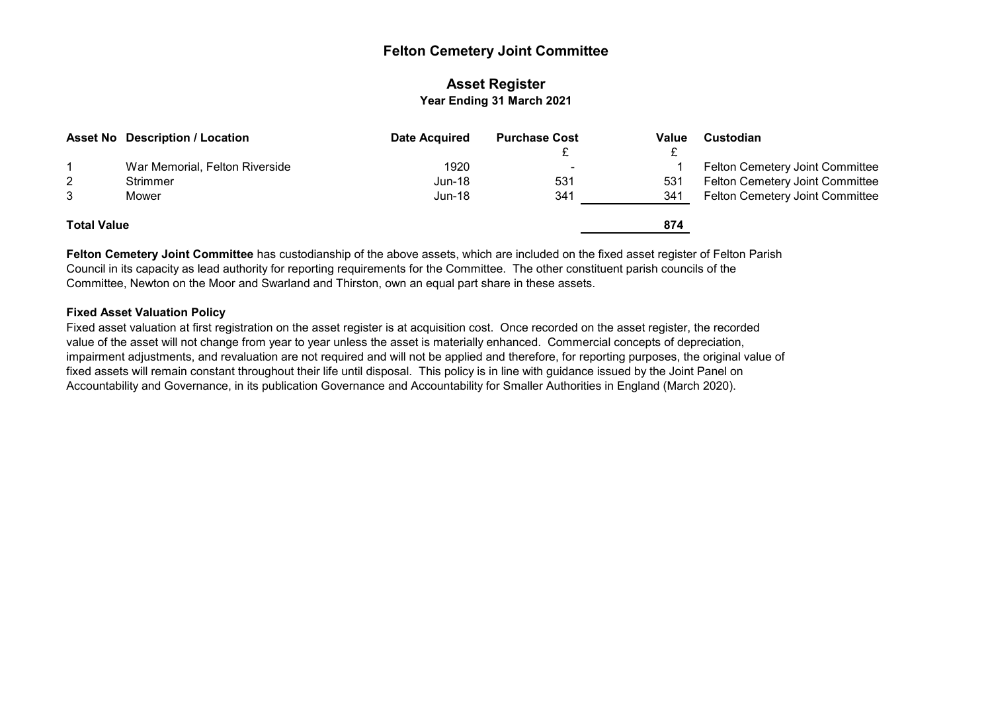#### **Asset Register Year Ending 31 March 2021**

|                    | <b>Asset No Description / Location</b> | Date Acquired | <b>Purchase Cost</b> | Value | <b>Custodian</b>                |
|--------------------|----------------------------------------|---------------|----------------------|-------|---------------------------------|
|                    |                                        |               |                      |       |                                 |
|                    | War Memorial, Felton Riverside         | 1920          | $\sim$               |       | Felton Cemetery Joint Committee |
| $\overline{2}$     | Strimmer                               | $Jun-18$      | 531                  | 531   | Felton Cemetery Joint Committee |
| 3                  | Mower                                  | $Jun-18$      | 341                  | 341   | Felton Cemetery Joint Committee |
|                    |                                        |               |                      |       |                                 |
| <b>Total Value</b> |                                        |               |                      | 874   |                                 |
|                    |                                        |               |                      |       |                                 |

**Felton Cemetery Joint Committee** has custodianship of the above assets, which are included on the fixed asset register of Felton Parish Council in its capacity as lead authority for reporting requirements for the Committee. The other constituent parish councils of the Committee, Newton on the Moor and Swarland and Thirston, own an equal part share in these assets.

#### **Fixed Asset Valuation Policy**

Fixed asset valuation at first registration on the asset register is at acquisition cost. Once recorded on the asset register, the recorded value of the asset will not change from year to year unless the asset is materially enhanced. Commercial concepts of depreciation, impairment adjustments, and revaluation are not required and will not be applied and therefore, for reporting purposes, the original value of fixed assets will remain constant throughout their life until disposal. This policy is in line with guidance issued by the Joint Panel on Accountability and Governance, in its publication Governance and Accountability for Smaller Authorities in England (March 2020).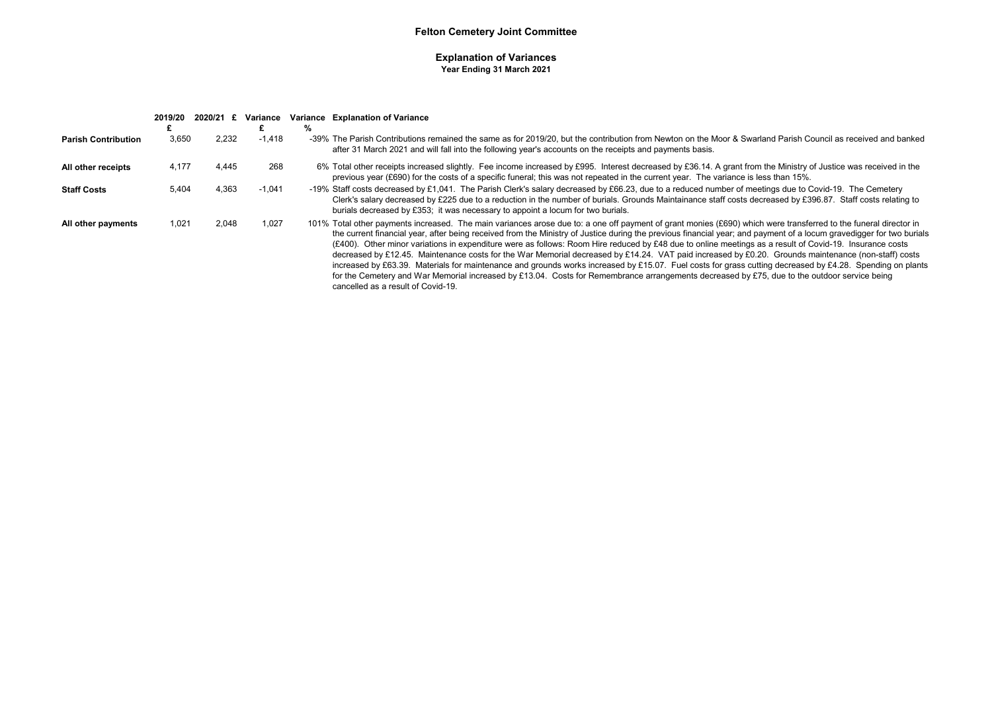#### **Explanation of Variances Year Ending 31 March 2021**

|                            | 2019/20 | 2020/21 £ | Variance | ℅ | Variance Explanation of Variance                                                                                                                                                                                                                                                                                                                                                                                                                                                                                                                                                                                                                                                                                                                                                                                                                                                                                                                                                                              |
|----------------------------|---------|-----------|----------|---|---------------------------------------------------------------------------------------------------------------------------------------------------------------------------------------------------------------------------------------------------------------------------------------------------------------------------------------------------------------------------------------------------------------------------------------------------------------------------------------------------------------------------------------------------------------------------------------------------------------------------------------------------------------------------------------------------------------------------------------------------------------------------------------------------------------------------------------------------------------------------------------------------------------------------------------------------------------------------------------------------------------|
| <b>Parish Contribution</b> | 3.650   | 2.232     | $-1.418$ |   | -39% The Parish Contributions remained the same as for 2019/20, but the contribution from Newton on the Moor & Swarland Parish Council as received and banked<br>after 31 March 2021 and will fall into the following year's accounts on the receipts and payments basis.                                                                                                                                                                                                                                                                                                                                                                                                                                                                                                                                                                                                                                                                                                                                     |
| All other receipts         | 4,177   | 4.445     | 268      |   | 6% Total other receipts increased slightly. Fee income increased by £995. Interest decreased by £36.14. A grant from the Ministry of Justice was received in the<br>previous year (£690) for the costs of a specific funeral; this was not repeated in the current year. The variance is less than 15%.                                                                                                                                                                                                                                                                                                                                                                                                                                                                                                                                                                                                                                                                                                       |
| <b>Staff Costs</b>         | 5.404   | 4,363     | $-1,041$ |   | -19% Staff costs decreased by £1,041. The Parish Clerk's salary decreased by £66.23, due to a reduced number of meetings due to Covid-19. The Cemetery<br>Clerk's salary decreased by £225 due to a reduction in the number of burials. Grounds Maintainance staff costs decreased by £396.87. Staff costs relating to<br>burials decreased by £353; it was necessary to appoint a locum for two burials.                                                                                                                                                                                                                                                                                                                                                                                                                                                                                                                                                                                                     |
| All other payments         | 1,021   | 2,048     | 1,027    |   | 101% Total other payments increased. The main variances arose due to: a one off payment of grant monies (£690) which were transferred to the funeral director in<br>the current financial year, after being received from the Ministry of Justice during the previous financial year; and payment of a locum gravedigger for two burials<br>(£400). Other minor variations in expenditure were as follows: Room Hire reduced by £48 due to online meetings as a result of Covid-19. Insurance costs<br>decreased by £12.45. Maintenance costs for the War Memorial decreased by £14.24. VAT paid increased by £0.20. Grounds maintenance (non-staff) costs<br>increased by £63.39. Materials for maintenance and grounds works increased by £15.07. Fuel costs for grass cutting decreased by £4.28. Spending on plants<br>for the Cemetery and War Memorial increased by £13.04. Costs for Remembrance arrangements decreased by £75, due to the outdoor service being<br>cancelled as a result of Covid-19. |